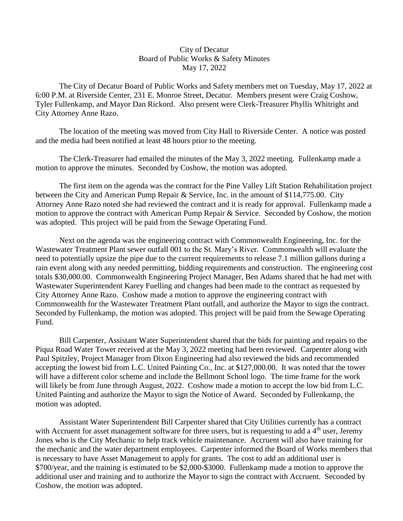## City of Decatur Board of Public Works & Safety Minutes May 17, 2022

 The City of Decatur Board of Public Works and Safety members met on Tuesday, May 17, 2022 at 6:00 P.M. at Riverside Center, 231 E. Monroe Street, Decatur. Members present were Craig Coshow, Tyler Fullenkamp, and Mayor Dan Rickord. Also present were Clerk-Treasurer Phyllis Whitright and City Attorney Anne Razo.

The location of the meeting was moved from City Hall to Riverside Center. A notice was posted and the media had been notified at least 48 hours prior to the meeting.

The Clerk-Treasurer had emailed the minutes of the May 3, 2022 meeting. Fullenkamp made a motion to approve the minutes. Seconded by Coshow, the motion was adopted.

 The first item on the agenda was the contract for the Pine Valley Lift Station Rehabilitation project between the City and American Pump Repair & Service, Inc. in the amount of \$114,775.00. City Attorney Anne Razo noted she had reviewed the contract and it is ready for approval. Fullenkamp made a motion to approve the contract with American Pump Repair & Service. Seconded by Coshow, the motion was adopted. This project will be paid from the Sewage Operating Fund.

 Next on the agenda was the engineering contract with Commonwealth Engineering, Inc. for the Wastewater Treatment Plant sewer outfall 001 to the St. Mary's River. Commonwealth will evaluate the need to potentially upsize the pipe due to the current requirements to release 7.1 million gallons during a rain event along with any needed permitting, bidding requirements and construction. The engineering cost totals \$30,000.00. Commonwealth Engineering Project Manager, Ben Adams shared that he had met with Wastewater Superintendent Karey Fuelling and changes had been made to the contract as requested by City Attorney Anne Razo. Coshow made a motion to approve the engineering contract with Commonwealth for the Wastewater Treatment Plant outfall, and authorize the Mayor to sign the contract. Seconded by Fullenkamp, the motion was adopted. This project will be paid from the Sewage Operating Fund.

 Bill Carpenter, Assistant Water Superintendent shared that the bids for painting and repairs to the Piqua Road Water Tower received at the May 3, 2022 meeting had been reviewed. Carpenter along with Paul Spitzley, Project Manager from Dixon Engineering had also reviewed the bids and recommended accepting the lowest bid from L.C. United Painting Co., Inc. at \$127,000.00. It was noted that the tower will have a different color scheme and include the Bellmont School logo. The time frame for the work will likely be from June through August, 2022. Coshow made a motion to accept the low bid from L.C. United Painting and authorize the Mayor to sign the Notice of Award. Seconded by Fullenkamp, the motion was adopted.

 Assistant Water Superintendent Bill Carpenter shared that City Utilities currently has a contract with Accruent for asset management software for three users, but is requesting to add a 4<sup>th</sup> user, Jeremy Jones who is the City Mechanic to help track vehicle maintenance. Accruent will also have training for the mechanic and the water department employees. Carpenter informed the Board of Works members that is necessary to have Asset Management to apply for grants. The cost to add an additional user is \$700/year, and the training is estimated to be \$2,000-\$3000. Fullenkamp made a motion to approve the additional user and training and to authorize the Mayor to sign the contract with Accruent. Seconded by Coshow, the motion was adopted.